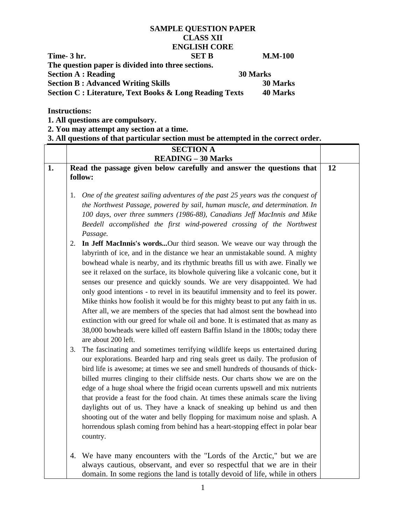## **SAMPLE QUESTION PAPER CLASS XII ENGLISH CORE Time- 3 hr. SET B M.M-100 The question paper is divided into three sections. Section A : Reading 30 Marks Section B : Advanced Writing Skills 30 Marks Section C : Literature, Text Books & Long Reading Texts 40 Marks**

**Instructions:**

**1. All questions are compulsory.**

**2. You may attempt any section at a time.**

**3. All questions of that particular section must be attempted in the correct order.**

|    |    | <b>SECTION A</b>                                                                                                                                                                                                                |    |
|----|----|---------------------------------------------------------------------------------------------------------------------------------------------------------------------------------------------------------------------------------|----|
|    |    | <b>READING - 30 Marks</b>                                                                                                                                                                                                       |    |
| 1. |    | Read the passage given below carefully and answer the questions that                                                                                                                                                            | 12 |
|    |    | follow:                                                                                                                                                                                                                         |    |
|    | 1. | One of the greatest sailing adventures of the past 25 years was the conquest of                                                                                                                                                 |    |
|    |    | the Northwest Passage, powered by sail, human muscle, and determination. In                                                                                                                                                     |    |
|    |    | 100 days, over three summers (1986-88), Canadians Jeff MacInnis and Mike                                                                                                                                                        |    |
|    |    | Beedell accomplished the first wind-powered crossing of the Northwest                                                                                                                                                           |    |
|    |    | Passage.                                                                                                                                                                                                                        |    |
|    | 2. | In Jeff MacInnis's wordsOur third season. We weave our way through the                                                                                                                                                          |    |
|    |    | labyrinth of ice, and in the distance we hear an unmistakable sound. A mighty                                                                                                                                                   |    |
|    |    | bowhead whale is nearby, and its rhythmic breaths fill us with awe. Finally we                                                                                                                                                  |    |
|    |    | see it relaxed on the surface, its blowhole quivering like a volcanic cone, but it                                                                                                                                              |    |
|    |    | senses our presence and quickly sounds. We are very disappointed. We had                                                                                                                                                        |    |
|    |    | only good intentions - to revel in its beautiful immensity and to feel its power.                                                                                                                                               |    |
|    |    | Mike thinks how foolish it would be for this mighty beast to put any faith in us.                                                                                                                                               |    |
|    |    | After all, we are members of the species that had almost sent the bowhead into                                                                                                                                                  |    |
|    |    | extinction with our greed for whale oil and bone. It is estimated that as many as                                                                                                                                               |    |
|    |    | 38,000 bowheads were killed off eastern Baffin Island in the 1800s; today there                                                                                                                                                 |    |
|    |    | are about 200 left.                                                                                                                                                                                                             |    |
|    | 3. | The fascinating and sometimes terrifying wildlife keeps us entertained during                                                                                                                                                   |    |
|    |    | our explorations. Bearded harp and ring seals greet us daily. The profusion of<br>bird life is awesome; at times we see and smell hundreds of thousands of thick-                                                               |    |
|    |    | billed murres clinging to their cliffside nests. Our charts show we are on the                                                                                                                                                  |    |
|    |    | edge of a huge shoal where the frigid ocean currents upswell and mix nutrients                                                                                                                                                  |    |
|    |    | that provide a feast for the food chain. At times these animals scare the living                                                                                                                                                |    |
|    |    | daylights out of us. They have a knack of sneaking up behind us and then                                                                                                                                                        |    |
|    |    | shooting out of the water and belly flopping for maximum noise and splash. A                                                                                                                                                    |    |
|    |    | horrendous splash coming from behind has a heart-stopping effect in polar bear                                                                                                                                                  |    |
|    |    | country.                                                                                                                                                                                                                        |    |
|    |    |                                                                                                                                                                                                                                 |    |
|    |    |                                                                                                                                                                                                                                 |    |
|    |    |                                                                                                                                                                                                                                 |    |
|    |    | 4. We have many encounters with the "Lords of the Arctic," but we are<br>always cautious, observant, and ever so respectful that we are in their<br>domain. In some regions the land is totally devoid of life, while in others |    |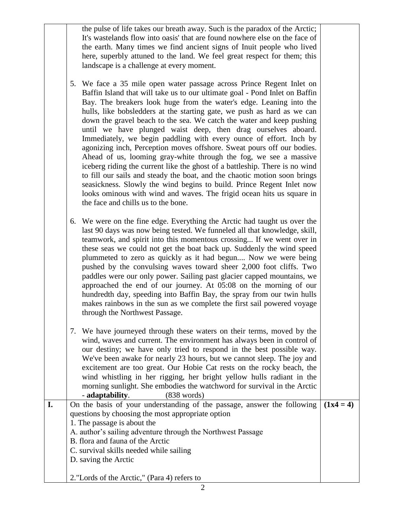the pulse of life takes our breath away. Such is the paradox of the Arctic; It's wastelands flow into oasis' that are found nowhere else on the face of the earth. Many times we find ancient signs of Inuit people who lived here, superbly attuned to the land. We feel great respect for them; this landscape is a challenge at every moment.

- 5. We face a 35 mile open water passage across Prince Regent Inlet on Baffin Island that will take us to our ultimate goal - Pond Inlet on Baffin Bay. The breakers look huge from the water's edge. Leaning into the hulls, like bobsledders at the starting gate, we push as hard as we can down the gravel beach to the sea. We catch the water and keep pushing until we have plunged waist deep, then drag ourselves aboard. Immediately, we begin paddling with every ounce of effort. Inch by agonizing inch, Perception moves offshore. Sweat pours off our bodies. Ahead of us, looming gray-white through the fog, we see a massive iceberg riding the current like the ghost of a battleship. There is no wind to fill our sails and steady the boat, and the chaotic motion soon brings seasickness. Slowly the wind begins to build. Prince Regent Inlet now looks ominous with wind and waves. The frigid ocean hits us square in the face and chills us to the bone.
- 6. We were on the fine edge. Everything the Arctic had taught us over the last 90 days was now being tested. We funneled all that knowledge, skill, teamwork, and spirit into this momentous crossing... If we went over in these seas we could not get the boat back up. Suddenly the wind speed plummeted to zero as quickly as it had begun.... Now we were being pushed by the convulsing waves toward sheer 2,000 foot cliffs. Two paddles were our only power. Sailing past glacier capped mountains, we approached the end of our journey. At 05:08 on the morning of our hundredth day, speeding into Baffin Bay, the spray from our twin hulls makes rainbows in the sun as we complete the first sail powered voyage through the Northwest Passage.
- 7. We have journeyed through these waters on their terms, moved by the wind, waves and current. The environment has always been in control of our destiny; we have only tried to respond in the best possible way. We've been awake for nearly 23 hours, but we cannot sleep. The joy and excitement are too great. Our Hobie Cat rests on the rocky beach, the wind whistling in her rigging, her bright yellow hulls radiant in the morning sunlight. She embodies the watchword for survival in the Arctic - **adaptability**. (838 words)
- **I.** On the basis of your understanding of the passage, answer the following questions by choosing the most appropriate option 1. The passage is about the A. author's sailing adventure through the Northwest Passage B. flora and fauna of the Arctic C. survival skills needed while sailing D. saving the Arctic 2."Lords of the Arctic," (Para 4) refers to  $(1x4 = 4)$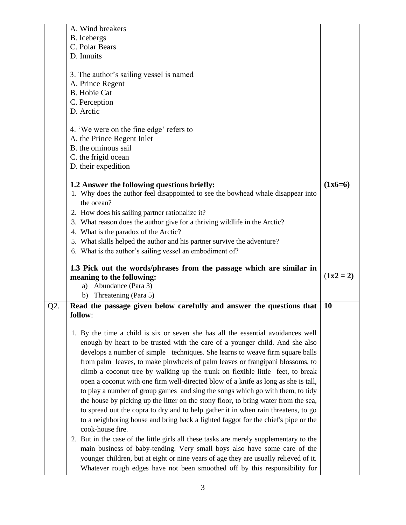|     | A. Wind breakers                                                                                                                                                   |             |
|-----|--------------------------------------------------------------------------------------------------------------------------------------------------------------------|-------------|
|     | <b>B.</b> Icebergs                                                                                                                                                 |             |
|     | C. Polar Bears                                                                                                                                                     |             |
|     | D. Innuits                                                                                                                                                         |             |
|     |                                                                                                                                                                    |             |
|     | 3. The author's sailing vessel is named                                                                                                                            |             |
|     | A. Prince Regent                                                                                                                                                   |             |
|     | <b>B.</b> Hobie Cat                                                                                                                                                |             |
|     | C. Perception                                                                                                                                                      |             |
|     | D. Arctic                                                                                                                                                          |             |
|     |                                                                                                                                                                    |             |
|     |                                                                                                                                                                    |             |
|     | 4. 'We were on the fine edge' refers to                                                                                                                            |             |
|     | A. the Prince Regent Inlet                                                                                                                                         |             |
|     | B. the ominous sail                                                                                                                                                |             |
|     | C. the frigid ocean                                                                                                                                                |             |
|     | D. their expedition                                                                                                                                                |             |
|     |                                                                                                                                                                    |             |
|     | 1.2 Answer the following questions briefly:                                                                                                                        | $(1x6=6)$   |
|     | 1. Why does the author feel disappointed to see the bowhead whale disappear into                                                                                   |             |
|     | the ocean?                                                                                                                                                         |             |
|     | 2. How does his sailing partner rationalize it?                                                                                                                    |             |
|     | 3. What reason does the author give for a thriving wildlife in the Arctic?                                                                                         |             |
|     | 4. What is the paradox of the Arctic?                                                                                                                              |             |
|     | 5. What skills helped the author and his partner survive the adventure?                                                                                            |             |
|     |                                                                                                                                                                    |             |
|     |                                                                                                                                                                    |             |
|     | 6. What is the author's sailing vessel an embodiment of?                                                                                                           |             |
|     | 1.3 Pick out the words/phrases from the passage which are similar in                                                                                               |             |
|     | meaning to the following:                                                                                                                                          | $(1x2 = 2)$ |
|     | Abundance (Para 3)<br>a)                                                                                                                                           |             |
|     | Threatening (Para 5)<br>b)                                                                                                                                         |             |
|     |                                                                                                                                                                    | <b>10</b>   |
| Q2. | Read the passage given below carefully and answer the questions that                                                                                               |             |
|     | follow:                                                                                                                                                            |             |
|     |                                                                                                                                                                    |             |
|     | 1. By the time a child is six or seven she has all the essential avoidances well                                                                                   |             |
|     | enough by heart to be trusted with the care of a younger child. And she also                                                                                       |             |
|     | develops a number of simple techniques. She learns to weave firm square balls                                                                                      |             |
|     | from palm leaves, to make pinwheels of palm leaves or frangipani blossoms, to                                                                                      |             |
|     | climb a coconut tree by walking up the trunk on flexible little feet, to break                                                                                     |             |
|     | open a coconut with one firm well-directed blow of a knife as long as she is tall,                                                                                 |             |
|     | to play a number of group games and sing the songs which go with them, to tidy                                                                                     |             |
|     | the house by picking up the litter on the stony floor, to bring water from the sea,                                                                                |             |
|     | to spread out the copra to dry and to help gather it in when rain threatens, to go                                                                                 |             |
|     | to a neighboring house and bring back a lighted faggot for the chief's pipe or the                                                                                 |             |
|     | cook-house fire.                                                                                                                                                   |             |
|     |                                                                                                                                                                    |             |
|     | 2. But in the case of the little girls all these tasks are merely supplementary to the                                                                             |             |
|     | main business of baby-tending. Very small boys also have some care of the                                                                                          |             |
|     | younger children, but at eight or nine years of age they are usually relieved of it.<br>Whatever rough edges have not been smoothed off by this responsibility for |             |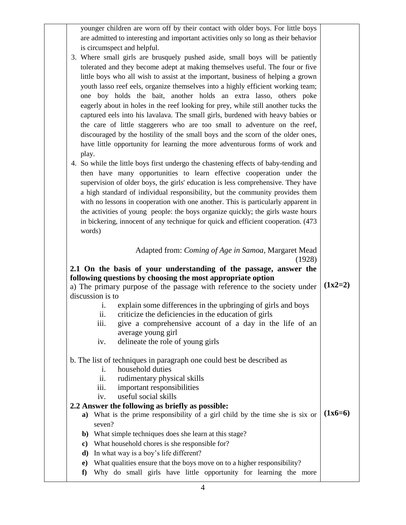|                  | younger children are worn off by their contact with older boys. For little boys                                                             |           |
|------------------|---------------------------------------------------------------------------------------------------------------------------------------------|-----------|
|                  | are admitted to interesting and important activities only so long as their behavior                                                         |           |
|                  | is circumspect and helpful.                                                                                                                 |           |
|                  | 3. Where small girls are brusquely pushed aside, small boys will be patiently                                                               |           |
|                  | tolerated and they become adept at making themselves useful. The four or five                                                               |           |
|                  | little boys who all wish to assist at the important, business of helping a grown                                                            |           |
|                  | youth lasso reef eels, organize themselves into a highly efficient working team;                                                            |           |
|                  | one boy holds the bait, another holds an extra lasso, others poke                                                                           |           |
|                  | eagerly about in holes in the reef looking for prey, while still another tucks the                                                          |           |
|                  | captured eels into his lavalava. The small girls, burdened with heavy babies or                                                             |           |
|                  | the care of little staggerers who are too small to adventure on the reef,                                                                   |           |
|                  | discouraged by the hostility of the small boys and the scorn of the older ones,                                                             |           |
|                  | have little opportunity for learning the more adventurous forms of work and                                                                 |           |
| play.            |                                                                                                                                             |           |
|                  | 4. So while the little boys first undergo the chastening effects of baby-tending and                                                        |           |
|                  | then have many opportunities to learn effective cooperation under the                                                                       |           |
|                  | supervision of older boys, the girls' education is less comprehensive. They have                                                            |           |
|                  |                                                                                                                                             |           |
|                  | a high standard of individual responsibility, but the community provides them                                                               |           |
|                  | with no lessons in cooperation with one another. This is particularly apparent in                                                           |           |
|                  | the activities of young people: the boys organize quickly; the girls waste hours                                                            |           |
|                  | in bickering, innocent of any technique for quick and efficient cooperation. (473                                                           |           |
| words)           |                                                                                                                                             |           |
|                  |                                                                                                                                             |           |
|                  | Adapted from: Coming of Age in Samoa, Margaret Mead                                                                                         |           |
|                  | (1928)                                                                                                                                      |           |
|                  | 2.1 On the basis of your understanding of the passage, answer the                                                                           |           |
|                  | following questions by choosing the most appropriate option                                                                                 |           |
|                  | a) The primary purpose of the passage with reference to the society under                                                                   | $(1x2=2)$ |
| discussion is to |                                                                                                                                             |           |
| 1.               | explain some differences in the upbringing of girls and boys                                                                                |           |
| ii.              | criticize the deficiencies in the education of girls                                                                                        |           |
| 111.             | give a comprehensive account of a day in the life of an                                                                                     |           |
|                  | average young girl                                                                                                                          |           |
| iv.              | delineate the role of young girls                                                                                                           |           |
|                  |                                                                                                                                             |           |
|                  | b. The list of techniques in paragraph one could best be described as                                                                       |           |
| i.               | household duties                                                                                                                            |           |
| ii.              | rudimentary physical skills                                                                                                                 |           |
| iii.             | important responsibilities                                                                                                                  |           |
| iv.              | useful social skills                                                                                                                        |           |
|                  | 2.2 Answer the following as briefly as possible:                                                                                            | $(1x6=6)$ |
|                  | a) What is the prime responsibility of a girl child by the time she is six or                                                               |           |
| seven?           |                                                                                                                                             |           |
|                  | b) What simple techniques does she learn at this stage?                                                                                     |           |
|                  | c) What household chores is she responsible for?                                                                                            |           |
| d)               | In what way is a boy's life different?                                                                                                      |           |
| $\bf e)$<br>f    | What qualities ensure that the boys move on to a higher responsibility?<br>Why do small girls have little opportunity for learning the more |           |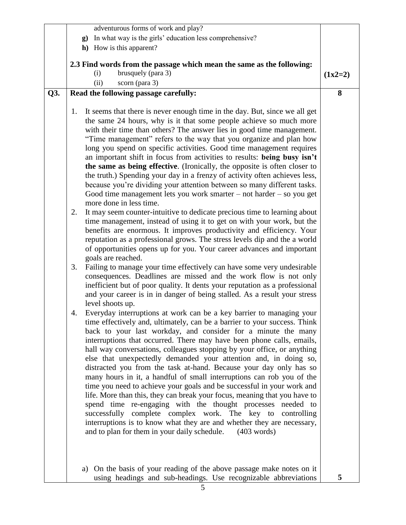|     | adventurous forms of work and play?                                                                                                                                                                                                                                                                                                                                                                                                                                                                                                                                                                                                                                                                                                                                                                                                                                                                                                                                                                                                                                                                                                                                                                                                                                                                                                                                                                                                                                                                                                                                                                                                                                                                                                                                                                                                                                                                                                                                                                                                                                                                                                                                                                                                                                                                                                                                                                                                                                                                                                                                                      |           |
|-----|------------------------------------------------------------------------------------------------------------------------------------------------------------------------------------------------------------------------------------------------------------------------------------------------------------------------------------------------------------------------------------------------------------------------------------------------------------------------------------------------------------------------------------------------------------------------------------------------------------------------------------------------------------------------------------------------------------------------------------------------------------------------------------------------------------------------------------------------------------------------------------------------------------------------------------------------------------------------------------------------------------------------------------------------------------------------------------------------------------------------------------------------------------------------------------------------------------------------------------------------------------------------------------------------------------------------------------------------------------------------------------------------------------------------------------------------------------------------------------------------------------------------------------------------------------------------------------------------------------------------------------------------------------------------------------------------------------------------------------------------------------------------------------------------------------------------------------------------------------------------------------------------------------------------------------------------------------------------------------------------------------------------------------------------------------------------------------------------------------------------------------------------------------------------------------------------------------------------------------------------------------------------------------------------------------------------------------------------------------------------------------------------------------------------------------------------------------------------------------------------------------------------------------------------------------------------------------------|-----------|
|     | In what way is the girls' education less comprehensive?<br>$\mathbf{g}$ )                                                                                                                                                                                                                                                                                                                                                                                                                                                                                                                                                                                                                                                                                                                                                                                                                                                                                                                                                                                                                                                                                                                                                                                                                                                                                                                                                                                                                                                                                                                                                                                                                                                                                                                                                                                                                                                                                                                                                                                                                                                                                                                                                                                                                                                                                                                                                                                                                                                                                                                |           |
|     | h) How is this apparent?                                                                                                                                                                                                                                                                                                                                                                                                                                                                                                                                                                                                                                                                                                                                                                                                                                                                                                                                                                                                                                                                                                                                                                                                                                                                                                                                                                                                                                                                                                                                                                                                                                                                                                                                                                                                                                                                                                                                                                                                                                                                                                                                                                                                                                                                                                                                                                                                                                                                                                                                                                 |           |
|     |                                                                                                                                                                                                                                                                                                                                                                                                                                                                                                                                                                                                                                                                                                                                                                                                                                                                                                                                                                                                                                                                                                                                                                                                                                                                                                                                                                                                                                                                                                                                                                                                                                                                                                                                                                                                                                                                                                                                                                                                                                                                                                                                                                                                                                                                                                                                                                                                                                                                                                                                                                                          |           |
|     | 2.3 Find words from the passage which mean the same as the following:<br>brusquely (para 3)<br>(i)                                                                                                                                                                                                                                                                                                                                                                                                                                                                                                                                                                                                                                                                                                                                                                                                                                                                                                                                                                                                                                                                                                                                                                                                                                                                                                                                                                                                                                                                                                                                                                                                                                                                                                                                                                                                                                                                                                                                                                                                                                                                                                                                                                                                                                                                                                                                                                                                                                                                                       |           |
|     | scorn (para 3)<br>(ii)                                                                                                                                                                                                                                                                                                                                                                                                                                                                                                                                                                                                                                                                                                                                                                                                                                                                                                                                                                                                                                                                                                                                                                                                                                                                                                                                                                                                                                                                                                                                                                                                                                                                                                                                                                                                                                                                                                                                                                                                                                                                                                                                                                                                                                                                                                                                                                                                                                                                                                                                                                   | $(1x2=2)$ |
|     |                                                                                                                                                                                                                                                                                                                                                                                                                                                                                                                                                                                                                                                                                                                                                                                                                                                                                                                                                                                                                                                                                                                                                                                                                                                                                                                                                                                                                                                                                                                                                                                                                                                                                                                                                                                                                                                                                                                                                                                                                                                                                                                                                                                                                                                                                                                                                                                                                                                                                                                                                                                          | 8         |
| Q3. | Read the following passage carefully:                                                                                                                                                                                                                                                                                                                                                                                                                                                                                                                                                                                                                                                                                                                                                                                                                                                                                                                                                                                                                                                                                                                                                                                                                                                                                                                                                                                                                                                                                                                                                                                                                                                                                                                                                                                                                                                                                                                                                                                                                                                                                                                                                                                                                                                                                                                                                                                                                                                                                                                                                    |           |
|     | It seems that there is never enough time in the day. But, since we all get<br>1.<br>the same 24 hours, why is it that some people achieve so much more<br>with their time than others? The answer lies in good time management.<br>"Time management" refers to the way that you organize and plan how<br>long you spend on specific activities. Good time management requires<br>an important shift in focus from activities to results: being busy isn't<br>the same as being effective. (Ironically, the opposite is often closer to<br>the truth.) Spending your day in a frenzy of activity often achieves less,<br>because you're dividing your attention between so many different tasks.<br>Good time management lets you work smarter $-$ not harder $-$ so you get<br>more done in less time.<br>It may seem counter-intuitive to dedicate precious time to learning about<br>2.<br>time management, instead of using it to get on with your work, but the<br>benefits are enormous. It improves productivity and efficiency. Your<br>reputation as a professional grows. The stress levels dip and the a world<br>of opportunities opens up for you. Your career advances and important<br>goals are reached.<br>Failing to manage your time effectively can have some very undesirable<br>3.<br>consequences. Deadlines are missed and the work flow is not only<br>inefficient but of poor quality. It dents your reputation as a professional<br>and your career is in in danger of being stalled. As a result your stress<br>level shoots up.<br>Everyday interruptions at work can be a key barrier to managing your<br>4.<br>time effectively and, ultimately, can be a barrier to your success. Think<br>back to your last workday, and consider for a minute the many<br>interruptions that occurred. There may have been phone calls, emails,<br>hall way conversations, colleagues stopping by your office, or anything<br>else that unexpectedly demanded your attention and, in doing so,<br>distracted you from the task at-hand. Because your day only has so<br>many hours in it, a handful of small interruptions can rob you of the<br>time you need to achieve your goals and be successful in your work and<br>life. More than this, they can break your focus, meaning that you have to<br>spend time re-engaging with the thought processes needed to<br>successfully complete complex work. The key to controlling<br>interruptions is to know what they are and whether they are necessary,<br>and to plan for them in your daily schedule. (403 words) |           |
|     | a) On the basis of your reading of the above passage make notes on it<br>using headings and sub-headings. Use recognizable abbreviations                                                                                                                                                                                                                                                                                                                                                                                                                                                                                                                                                                                                                                                                                                                                                                                                                                                                                                                                                                                                                                                                                                                                                                                                                                                                                                                                                                                                                                                                                                                                                                                                                                                                                                                                                                                                                                                                                                                                                                                                                                                                                                                                                                                                                                                                                                                                                                                                                                                 | 5         |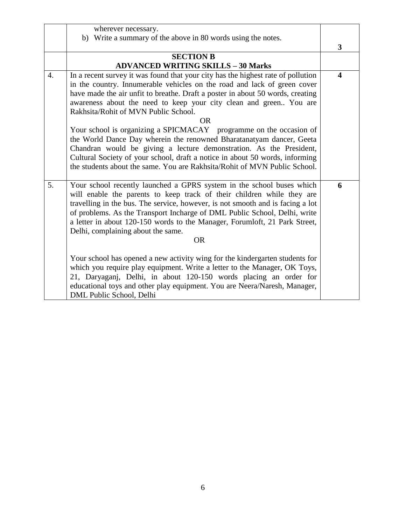|                  | wherever necessary.                                                              |                         |
|------------------|----------------------------------------------------------------------------------|-------------------------|
|                  | b) Write a summary of the above in 80 words using the notes.                     |                         |
|                  |                                                                                  | 3                       |
|                  | <b>SECTION B</b>                                                                 |                         |
|                  | <b>ADVANCED WRITING SKILLS - 30 Marks</b>                                        |                         |
| $\overline{4}$ . | In a recent survey it was found that your city has the highest rate of pollution | $\overline{\mathbf{4}}$ |
|                  | in the country. Innumerable vehicles on the road and lack of green cover         |                         |
|                  | have made the air unfit to breathe. Draft a poster in about 50 words, creating   |                         |
|                  | awareness about the need to keep your city clean and green You are               |                         |
|                  | Rakhsita/Rohit of MVN Public School.                                             |                         |
|                  | <b>OR</b>                                                                        |                         |
|                  | Your school is organizing a SPICMACAY programme on the occasion of               |                         |
|                  | the World Dance Day wherein the renowned Bharatanatyam dancer, Geeta             |                         |
|                  | Chandran would be giving a lecture demonstration. As the President,              |                         |
|                  | Cultural Society of your school, draft a notice in about 50 words, informing     |                         |
|                  | the students about the same. You are Rakhsita/Rohit of MVN Public School.        |                         |
|                  |                                                                                  |                         |
| 5.               | Your school recently launched a GPRS system in the school buses which            | 6                       |
|                  | will enable the parents to keep track of their children while they are           |                         |
|                  | travelling in the bus. The service, however, is not smooth and is facing a lot   |                         |
|                  | of problems. As the Transport Incharge of DML Public School, Delhi, write        |                         |
|                  | a letter in about 120-150 words to the Manager, Forumloft, 21 Park Street,       |                         |
|                  | Delhi, complaining about the same.                                               |                         |
|                  | <b>OR</b>                                                                        |                         |
|                  |                                                                                  |                         |
|                  | Your school has opened a new activity wing for the kindergarten students for     |                         |
|                  | which you require play equipment. Write a letter to the Manager, OK Toys,        |                         |
|                  | 21, Daryaganj, Delhi, in about 120-150 words placing an order for                |                         |
|                  | educational toys and other play equipment. You are Neera/Naresh, Manager,        |                         |
|                  | DML Public School, Delhi                                                         |                         |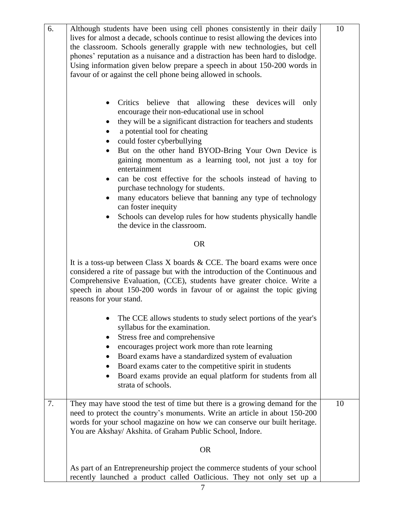| 6. | Although students have been using cell phones consistently in their daily<br>lives for almost a decade, schools continue to resist allowing the devices into<br>the classroom. Schools generally grapple with new technologies, but cell<br>phones' reputation as a nuisance and a distraction has been hard to dislodge.<br>Using information given below prepare a speech in about 150-200 words in<br>favour of or against the cell phone being allowed in schools.<br>Critics believe that<br>allowing these devices will only<br>encourage their non-educational use in school<br>they will be a significant distraction for teachers and students<br>a potential tool for cheating<br>could foster cyberbullying<br>But on the other hand BYOD-Bring Your Own Device is<br>gaining momentum as a learning tool, not just a toy for<br>entertainment | 10 |
|----|-----------------------------------------------------------------------------------------------------------------------------------------------------------------------------------------------------------------------------------------------------------------------------------------------------------------------------------------------------------------------------------------------------------------------------------------------------------------------------------------------------------------------------------------------------------------------------------------------------------------------------------------------------------------------------------------------------------------------------------------------------------------------------------------------------------------------------------------------------------|----|
|    | can be cost effective for the schools instead of having to<br>purchase technology for students.<br>many educators believe that banning any type of technology<br>٠<br>can foster inequity<br>Schools can develop rules for how students physically handle<br>the device in the classroom.                                                                                                                                                                                                                                                                                                                                                                                                                                                                                                                                                                 |    |
|    | <b>OR</b>                                                                                                                                                                                                                                                                                                                                                                                                                                                                                                                                                                                                                                                                                                                                                                                                                                                 |    |
|    | It is a toss-up between Class $X$ boards $\&$ CCE. The board exams were once<br>considered a rite of passage but with the introduction of the Continuous and<br>Comprehensive Evaluation, (CCE), students have greater choice. Write a<br>speech in about 150-200 words in favour of or against the topic giving<br>reasons for your stand.                                                                                                                                                                                                                                                                                                                                                                                                                                                                                                               |    |
|    | The CCE allows students to study select portions of the year's<br>syllabus for the examination.<br>Stress free and comprehensive<br>encourages project work more than rote learning<br>Board exams have a standardized system of evaluation<br>Board exams cater to the competitive spirit in students<br>Board exams provide an equal platform for students from all<br>٠<br>strata of schools.                                                                                                                                                                                                                                                                                                                                                                                                                                                          |    |
| 7. | They may have stood the test of time but there is a growing demand for the<br>need to protect the country's monuments. Write an article in about 150-200<br>words for your school magazine on how we can conserve our built heritage.<br>You are Akshay/ Akshita. of Graham Public School, Indore.                                                                                                                                                                                                                                                                                                                                                                                                                                                                                                                                                        | 10 |
|    | <b>OR</b>                                                                                                                                                                                                                                                                                                                                                                                                                                                                                                                                                                                                                                                                                                                                                                                                                                                 |    |
|    | As part of an Entrepreneurship project the commerce students of your school<br>recently launched a product called Oatlicious. They not only set up a                                                                                                                                                                                                                                                                                                                                                                                                                                                                                                                                                                                                                                                                                                      |    |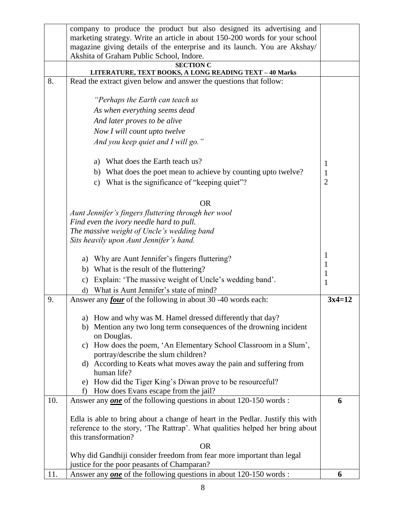|     | company to produce the product but also designed its advertising and                                    |                  |
|-----|---------------------------------------------------------------------------------------------------------|------------------|
|     | marketing strategy. Write an article in about 150-200 words for your school                             |                  |
|     | magazine giving details of the enterprise and its launch. You are Akshay/                               |                  |
|     | Akshita of Graham Public School, Indore.                                                                |                  |
|     | <b>SECTION C</b><br>LITERATURE, TEXT BOOKS, A LONG READING TEXT - 40 Marks                              |                  |
| 8.  | Read the extract given below and answer the questions that follow:                                      |                  |
|     |                                                                                                         |                  |
|     | "Perhaps the Earth can teach us                                                                         |                  |
|     | As when everything seems dead                                                                           |                  |
|     | And later proves to be alive                                                                            |                  |
|     | Now I will count upto twelve                                                                            |                  |
|     | And you keep quiet and I will go."                                                                      |                  |
|     |                                                                                                         |                  |
|     | a) What does the Earth teach us?                                                                        | 1                |
|     | b) What does the poet mean to achieve by counting up to twelve?                                         | 1                |
|     | c) What is the significance of "keeping quiet"?                                                         | $\overline{2}$   |
|     |                                                                                                         |                  |
|     | <b>OR</b>                                                                                               |                  |
|     | Aunt Jennifer's fingers fluttering through her wool                                                     |                  |
|     | Find even the ivory needle hard to pull.                                                                |                  |
|     | The massive weight of Uncle's wedding band                                                              |                  |
|     | Sits heavily upon Aunt Jennifer's hand.                                                                 |                  |
|     | a) Why are Aunt Jennifer's fingers fluttering?                                                          | 1                |
|     | b) What is the result of the fluttering?                                                                | 1                |
|     | Explain: 'The massive weight of Uncle's wedding band'.<br>$\mathbf{c})$                                 | $\mathbf 1$<br>1 |
|     | What is Aunt Jennifer's state of mind?<br>$\mathbf{d}$                                                  |                  |
| 9.  | Answer any <i>four</i> of the following in about 30 -40 words each:                                     | $3x4=12$         |
|     |                                                                                                         |                  |
|     | a) How and why was M. Hamel dressed differently that day?                                               |                  |
|     | b) Mention any two long term consequences of the drowning incident<br>on Douglas.                       |                  |
|     | How does the poem, 'An Elementary School Classroom in a Slum',<br>$\mathbf{c}$ )                        |                  |
|     | portray/describe the slum children?                                                                     |                  |
|     | d) According to Keats what moves away the pain and suffering from                                       |                  |
|     | human life?                                                                                             |                  |
|     | e) How did the Tiger King's Diwan prove to be resourceful?<br>How does Evans escape from the jail?<br>f |                  |
| 10. | Answer any <b>one</b> of the following questions in about 120-150 words :                               | 6                |
|     |                                                                                                         |                  |
|     | Edla is able to bring about a change of heart in the Pedlar. Justify this with                          |                  |
|     | reference to the story, 'The Rattrap'. What qualities helped her bring about                            |                  |
|     | this transformation?                                                                                    |                  |
|     | <b>OR</b>                                                                                               |                  |
|     | Why did Gandhiji consider freedom from fear more important than legal                                   |                  |
|     | justice for the poor peasants of Champaran?                                                             |                  |
| 11. | Answer any <b>one</b> of the following questions in about 120-150 words :                               | 6                |